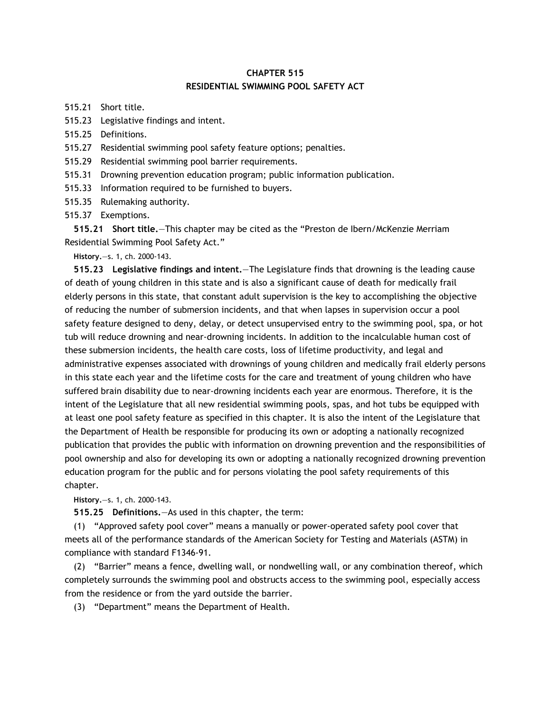## **CHAPTER 515 RESIDENTIAL SWIMMING POOL SAFETY ACT**

515.21 Short title.

515.23 Legislative findings and intent.

515.25 Definitions.

515.27 Residential swimming pool safety feature options; penalties.

515.29 Residential swimming pool barrier requirements.

515.31 Drowning prevention education program; public information publication.

515.33 Information required to be furnished to buyers.

515.35 Rulemaking authority.

515.37 Exemptions.

**515.21 Short title.**—This chapter may be cited as the "Preston de Ibern/McKenzie Merriam Residential Swimming Pool Safety Act."

**History.**—s. 1, ch. 2000-143.

**515.23 Legislative findings and intent.**—The Legislature finds that drowning is the leading cause of death of young children in this state and is also a significant cause of death for medically frail elderly persons in this state, that constant adult supervision is the key to accomplishing the objective of reducing the number of submersion incidents, and that when lapses in supervision occur a pool safety feature designed to deny, delay, or detect unsupervised entry to the swimming pool, spa, or hot tub will reduce drowning and near-drowning incidents. In addition to the incalculable human cost of these submersion incidents, the health care costs, loss of lifetime productivity, and legal and administrative expenses associated with drownings of young children and medically frail elderly persons in this state each year and the lifetime costs for the care and treatment of young children who have suffered brain disability due to near-drowning incidents each year are enormous. Therefore, it is the intent of the Legislature that all new residential swimming pools, spas, and hot tubs be equipped with at least one pool safety feature as specified in this chapter. It is also the intent of the Legislature that the Department of Health be responsible for producing its own or adopting a nationally recognized publication that provides the public with information on drowning prevention and the responsibilities of pool ownership and also for developing its own or adopting a nationally recognized drowning prevention education program for the public and for persons violating the pool safety requirements of this chapter.

**History.**—s. 1, ch. 2000-143.

**515.25 Definitions.**—As used in this chapter, the term:

(1) "Approved safety pool cover" means a manually or power-operated safety pool cover that meets all of the performance standards of the American Society for Testing and Materials (ASTM) in compliance with standard F1346-91.

(2) "Barrier" means a fence, dwelling wall, or nondwelling wall, or any combination thereof, which completely surrounds the swimming pool and obstructs access to the swimming pool, especially access from the residence or from the yard outside the barrier.

(3) "Department" means the Department of Health.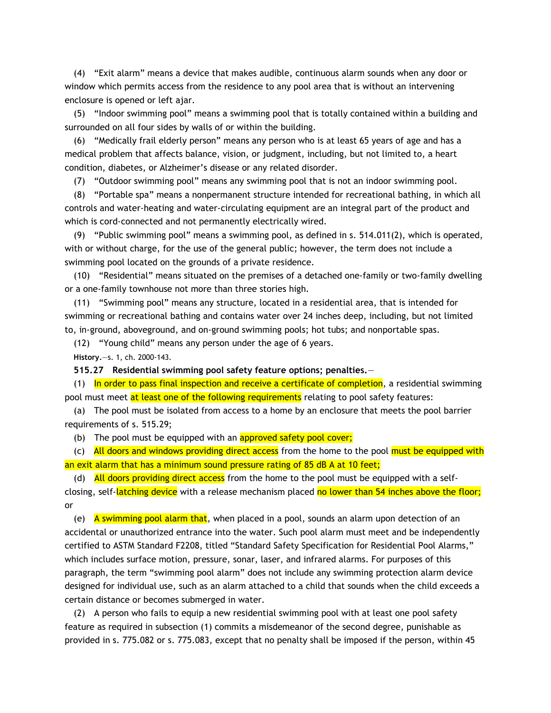(4) "Exit alarm" means a device that makes audible, continuous alarm sounds when any door or window which permits access from the residence to any pool area that is without an intervening enclosure is opened or left ajar.

(5) "Indoor swimming pool" means a swimming pool that is totally contained within a building and surrounded on all four sides by walls of or within the building.

(6) "Medically frail elderly person" means any person who is at least 65 years of age and has a medical problem that affects balance, vision, or judgment, including, but not limited to, a heart condition, diabetes, or Alzheimer's disease or any related disorder.

(7) "Outdoor swimming pool" means any swimming pool that is not an indoor swimming pool.

(8) "Portable spa" means a nonpermanent structure intended for recreational bathing, in which all controls and water-heating and water-circulating equipment are an integral part of the product and which is cord-connected and not permanently electrically wired.

(9) "Public swimming pool" means a swimming pool, as defined in s. 514.011(2), which is operated, with or without charge, for the use of the general public; however, the term does not include a swimming pool located on the grounds of a private residence.

(10) "Residential" means situated on the premises of a detached one-family or two-family dwelling or a one-family townhouse not more than three stories high.

(11) "Swimming pool" means any structure, located in a residential area, that is intended for swimming or recreational bathing and contains water over 24 inches deep, including, but not limited to, in-ground, aboveground, and on-ground swimming pools; hot tubs; and nonportable spas.

(12) "Young child" means any person under the age of 6 years.

**History.**—s. 1, ch. 2000-143.

**515.27 Residential swimming pool safety feature options; penalties.**—

(1) In order to pass final inspection and receive a certificate of completion, a residential swimming pool must meet at least one of the following requirements relating to pool safety features:

(a) The pool must be isolated from access to a home by an enclosure that meets the pool barrier requirements of s. 515.29;

(b) The pool must be equipped with an approved safety pool cover;

(c) All doors and windows providing direct access from the home to the pool must be equipped with an exit alarm that has a minimum sound pressure rating of 85 dB A at 10 feet;

(d) All doors providing direct access from the home to the pool must be equipped with a selfclosing, self-latching device with a release mechanism placed no lower than 54 inches above the floor; or

(e) A swimming pool alarm that, when placed in a pool, sounds an alarm upon detection of an accidental or unauthorized entrance into the water. Such pool alarm must meet and be independently certified to ASTM Standard F2208, titled "Standard Safety Specification for Residential Pool Alarms," which includes surface motion, pressure, sonar, laser, and infrared alarms. For purposes of this paragraph, the term "swimming pool alarm" does not include any swimming protection alarm device designed for individual use, such as an alarm attached to a child that sounds when the child exceeds a certain distance or becomes submerged in water.

(2) A person who fails to equip a new residential swimming pool with at least one pool safety feature as required in subsection (1) commits a misdemeanor of the second degree, punishable as provided in s. 775.082 or s. 775.083, except that no penalty shall be imposed if the person, within 45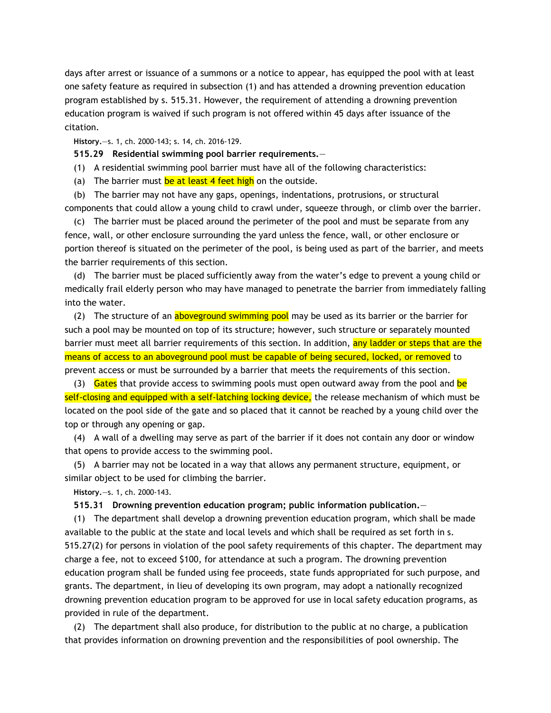days after arrest or issuance of a summons or a notice to appear, has equipped the pool with at least one safety feature as required in subsection (1) and has attended a drowning prevention education program established by s. 515.31. However, the requirement of attending a drowning prevention education program is waived if such program is not offered within 45 days after issuance of the citation.

**History.**—s. 1, ch. 2000-143; s. 14, ch. 2016-129.

**515.29 Residential swimming pool barrier requirements.**—

(1) A residential swimming pool barrier must have all of the following characteristics:

(a) The barrier must be at least 4 feet high on the outside.

(b) The barrier may not have any gaps, openings, indentations, protrusions, or structural components that could allow a young child to crawl under, squeeze through, or climb over the barrier.

(c) The barrier must be placed around the perimeter of the pool and must be separate from any fence, wall, or other enclosure surrounding the yard unless the fence, wall, or other enclosure or portion thereof is situated on the perimeter of the pool, is being used as part of the barrier, and meets the barrier requirements of this section.

(d) The barrier must be placed sufficiently away from the water's edge to prevent a young child or medically frail elderly person who may have managed to penetrate the barrier from immediately falling into the water.

(2) The structure of an aboveground swimming pool may be used as its barrier or the barrier for such a pool may be mounted on top of its structure; however, such structure or separately mounted barrier must meet all barrier requirements of this section. In addition, any ladder or steps that are the means of access to an aboveground pool must be capable of being secured, locked, or removed to prevent access or must be surrounded by a barrier that meets the requirements of this section.

(3) Gates that provide access to swimming pools must open outward away from the pool and be self-closing and equipped with a self-latching locking device, the release mechanism of which must be located on the pool side of the gate and so placed that it cannot be reached by a young child over the top or through any opening or gap.

(4) A wall of a dwelling may serve as part of the barrier if it does not contain any door or window that opens to provide access to the swimming pool.

(5) A barrier may not be located in a way that allows any permanent structure, equipment, or similar object to be used for climbing the barrier.

**History.**—s. 1, ch. 2000-143.

## **515.31 Drowning prevention education program; public information publication.**—

(1) The department shall develop a drowning prevention education program, which shall be made available to the public at the state and local levels and which shall be required as set forth in s. 515.27(2) for persons in violation of the pool safety requirements of this chapter. The department may charge a fee, not to exceed \$100, for attendance at such a program. The drowning prevention education program shall be funded using fee proceeds, state funds appropriated for such purpose, and grants. The department, in lieu of developing its own program, may adopt a nationally recognized drowning prevention education program to be approved for use in local safety education programs, as provided in rule of the department.

(2) The department shall also produce, for distribution to the public at no charge, a publication that provides information on drowning prevention and the responsibilities of pool ownership. The